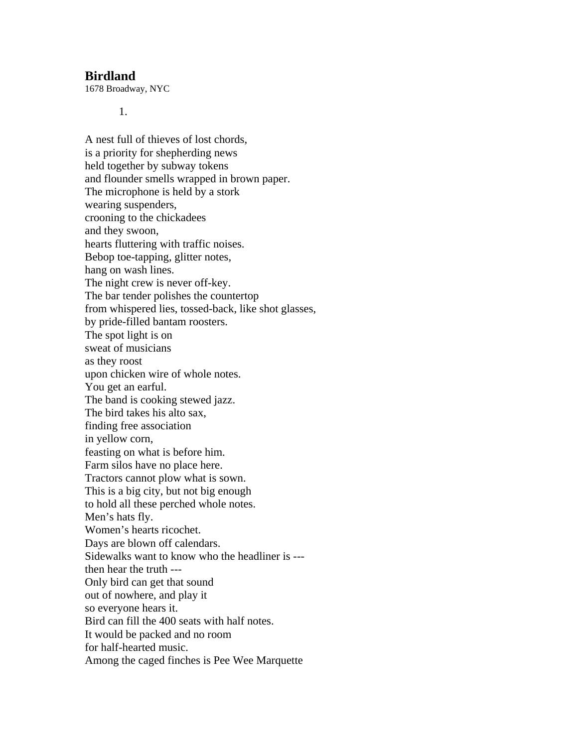## **Birdland**

1678 Broadway, NYC

1.

A nest full of thieves of lost chords, is a priority for shepherding news held together by subway tokens and flounder smells wrapped in brown paper. The microphone is held by a stork wearing suspenders, crooning to the chickadees and they swoon, hearts fluttering with traffic noises. Bebop toe-tapping, glitter notes, hang on wash lines. The night crew is never off-key. The bar tender polishes the countertop from whispered lies, tossed-back, like shot glasses, by pride-filled bantam roosters. The spot light is on sweat of musicians as they roost upon chicken wire of whole notes. You get an earful. The band is cooking stewed jazz. The bird takes his alto sax, finding free association in yellow corn, feasting on what is before him. Farm silos have no place here. Tractors cannot plow what is sown. This is a big city, but not big enough to hold all these perched whole notes. Men's hats fly. Women's hearts ricochet. Days are blown off calendars. Sidewalks want to know who the headliner is -- then hear the truth --- Only bird can get that sound out of nowhere, and play it so everyone hears it. Bird can fill the 400 seats with half notes. It would be packed and no room for half-hearted music. Among the caged finches is Pee Wee Marquette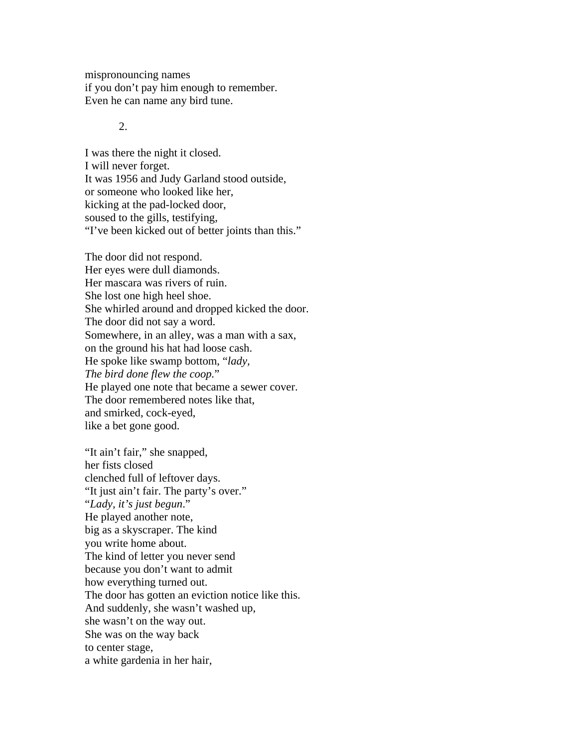mispronouncing names if you don't pay him enough to remember. Even he can name any bird tune.

## $2<sub>1</sub>$

I was there the night it closed. I will never forget. It was 1956 and Judy Garland stood outside, or someone who looked like her, kicking at the pad-locked door, soused to the gills, testifying, "I've been kicked out of better joints than this."

The door did not respond. Her eyes were dull diamonds. Her mascara was rivers of ruin. She lost one high heel shoe. She whirled around and dropped kicked the door. The door did not say a word. Somewhere, in an alley, was a man with a sax, on the ground his hat had loose cash. He spoke like swamp bottom, "*lady, The bird done flew the coop.*" He played one note that became a sewer cover. The door remembered notes like that, and smirked, cock-eyed, like a bet gone good.

"It ain't fair," she snapped, her fists closed clenched full of leftover days. "It just ain't fair. The party's over." "*Lady, it's just begun*." He played another note, big as a skyscraper. The kind you write home about. The kind of letter you never send because you don't want to admit how everything turned out. The door has gotten an eviction notice like this. And suddenly, she wasn't washed up, she wasn't on the way out. She was on the way back to center stage, a white gardenia in her hair,